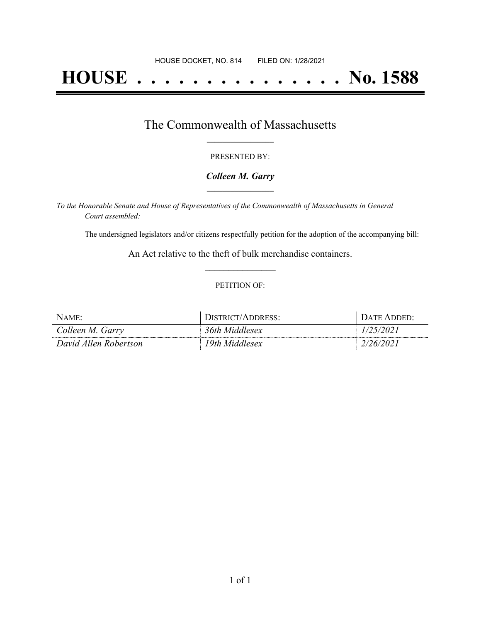# **HOUSE . . . . . . . . . . . . . . . No. 1588**

# The Commonwealth of Massachusetts **\_\_\_\_\_\_\_\_\_\_\_\_\_\_\_\_\_**

#### PRESENTED BY:

#### *Colleen M. Garry* **\_\_\_\_\_\_\_\_\_\_\_\_\_\_\_\_\_**

*To the Honorable Senate and House of Representatives of the Commonwealth of Massachusetts in General Court assembled:*

The undersigned legislators and/or citizens respectfully petition for the adoption of the accompanying bill:

An Act relative to the theft of bulk merchandise containers. **\_\_\_\_\_\_\_\_\_\_\_\_\_\_\_**

#### PETITION OF:

| NAME:                 | <i><b>DISTRICT/ADDRESS:</b></i> | $\lambda$ TF |
|-----------------------|---------------------------------|--------------|
| Colleen M. Garry      | 36th Middlesex                  |              |
| David Allen Robertson | 19th Middlesex                  | /6/          |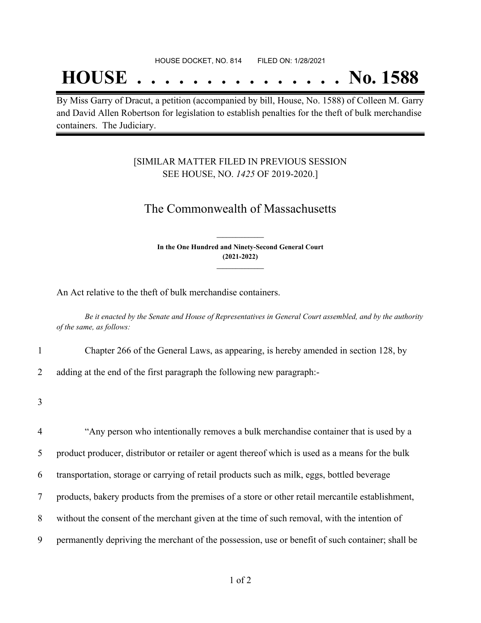# **HOUSE . . . . . . . . . . . . . . . No. 1588**

By Miss Garry of Dracut, a petition (accompanied by bill, House, No. 1588) of Colleen M. Garry and David Allen Robertson for legislation to establish penalties for the theft of bulk merchandise containers. The Judiciary.

### [SIMILAR MATTER FILED IN PREVIOUS SESSION SEE HOUSE, NO. *1425* OF 2019-2020.]

## The Commonwealth of Massachusetts

**In the One Hundred and Ninety-Second General Court (2021-2022) \_\_\_\_\_\_\_\_\_\_\_\_\_\_\_**

**\_\_\_\_\_\_\_\_\_\_\_\_\_\_\_**

An Act relative to the theft of bulk merchandise containers.

Be it enacted by the Senate and House of Representatives in General Court assembled, and by the authority *of the same, as follows:*

1 Chapter 266 of the General Laws, as appearing, is hereby amended in section 128, by

2 adding at the end of the first paragraph the following new paragraph:-

3

 "Any person who intentionally removes a bulk merchandise container that is used by a product producer, distributor or retailer or agent thereof which is used as a means for the bulk transportation, storage or carrying of retail products such as milk, eggs, bottled beverage products, bakery products from the premises of a store or other retail mercantile establishment, without the consent of the merchant given at the time of such removal, with the intention of permanently depriving the merchant of the possession, use or benefit of such container; shall be